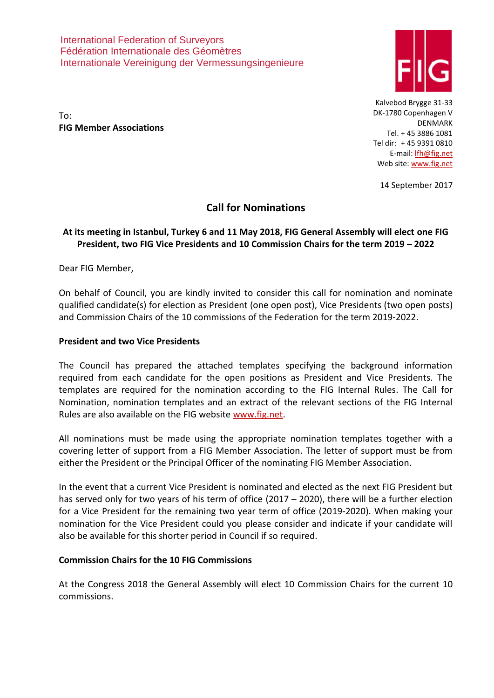International Federation of Surveyors Fédération Internationale des Géomètres Internationale Vereinigung der Vermessungsingenieure



To: **FIG Member Associations**

Kalvebod Brygge 31-33 DK-1780 Copenhagen V DENMARK Tel. + 45 3886 1081 Tel dir: + 45 9391 0810 E-mail: [lfh@fig.net](mailto:lfh@fig.net) Web site[: www.fig.net](http://www.fig.net/)

14 September 2017

# **Call for Nominations**

# **At its meeting in Istanbul, Turkey 6 and 11 May 2018, FIG General Assembly will elect one FIG President, two FIG Vice Presidents and 10 Commission Chairs for the term 2019 – 2022**

Dear FIG Member,

On behalf of Council, you are kindly invited to consider this call for nomination and nominate qualified candidate(s) for election as President (one open post), Vice Presidents (two open posts) and Commission Chairs of the 10 commissions of the Federation for the term 2019-2022.

# **President and two Vice Presidents**

The Council has prepared the attached templates specifying the background information required from each candidate for the open positions as President and Vice Presidents. The templates are required for the nomination according to the FIG Internal Rules. The Call for Nomination, nomination templates and an extract of the relevant sections of the FIG Internal Rules are also available on the FIG website [www.fig.net.](http://www.fig.net/)

All nominations must be made using the appropriate nomination templates together with a covering letter of support from a FIG Member Association. The letter of support must be from either the President or the Principal Officer of the nominating FIG Member Association.

In the event that a current Vice President is nominated and elected as the next FIG President but has served only for two years of his term of office (2017 – 2020), there will be a further election for a Vice President for the remaining two year term of office (2019-2020). When making your nomination for the Vice President could you please consider and indicate if your candidate will also be available for this shorter period in Council if so required.

#### **Commission Chairs for the 10 FIG Commissions**

At the Congress 2018 the General Assembly will elect 10 Commission Chairs for the current 10 commissions.